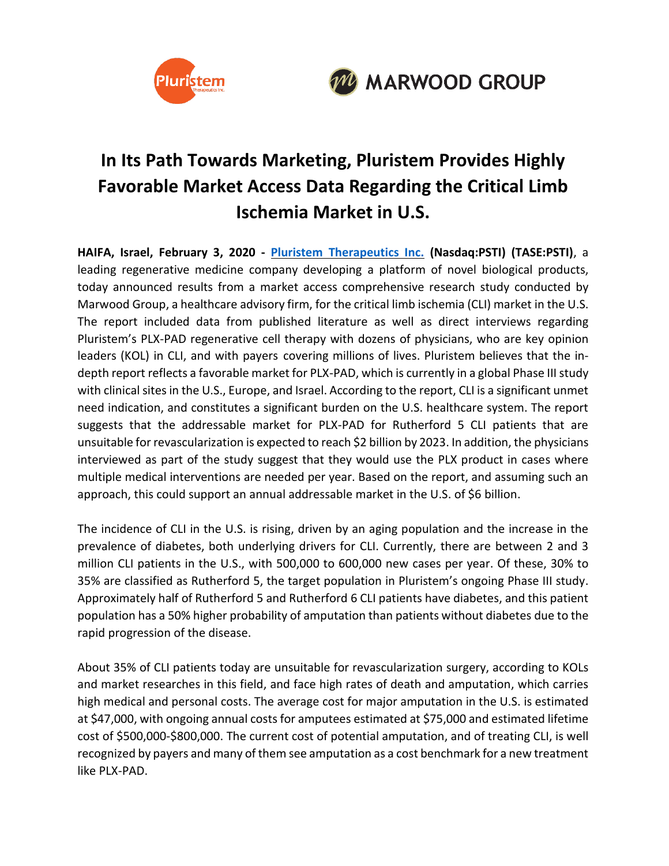



**WA MARWOOD GROUP** 

# **In Its Path Towards Marketing, Pluristem Provides Highly Favorable Market Access Data Regarding the Critical Limb Ischemia Market in U.S.**

**HAIFA, Israel, February 3, 2020 - [Pluristem Therapeutics Inc.](https://www.pluristem.com/) (Nasdaq:PSTI) (TASE:PSTI)**, a leading regenerative medicine company developing a platform of novel biological products, today announced results from a market access comprehensive research study conducted by Marwood Group, a healthcare advisory firm, for the critical limb ischemia (CLI) market in the U.S. The report included data from published literature as well as direct interviews regarding Pluristem's PLX-PAD regenerative cell therapy with dozens of physicians, who are key opinion leaders (KOL) in CLI, and with payers covering millions of lives. Pluristem believes that the indepth report reflects a favorable market for PLX-PAD, which is currently in a global Phase III study with clinical sites in the U.S., Europe, and Israel. According to the report, CLI is a significant unmet need indication, and constitutes a significant burden on the U.S. healthcare system. The report suggests that the addressable market for PLX-PAD for Rutherford 5 CLI patients that are unsuitable for revascularization is expected to reach \$2 billion by 2023. In addition, the physicians interviewed as part of the study suggest that they would use the PLX product in cases where multiple medical interventions are needed per year. Based on the report, and assuming such an approach, this could support an annual addressable market in the U.S. of \$6 billion.

The incidence of CLI in the U.S. is rising, driven by an aging population and the increase in the prevalence of diabetes, both underlying drivers for CLI. Currently, there are between 2 and 3 million CLI patients in the U.S., with 500,000 to 600,000 new cases per year. Of these, 30% to 35% are classified as Rutherford 5, the target population in Pluristem's ongoing Phase III study. Approximately half of Rutherford 5 and Rutherford 6 CLI patients have diabetes, and this patient population has a 50% higher probability of amputation than patients without diabetes due to the rapid progression of the disease.

About 35% of CLI patients today are unsuitable for revascularization surgery, according to KOLs and market researches in this field, and face high rates of death and amputation, which carries high medical and personal costs. The average cost for major amputation in the U.S. is estimated at \$47,000, with ongoing annual costs for amputees estimated at \$75,000 and estimated lifetime cost of \$500,000-\$800,000. The current cost of potential amputation, and of treating CLI, is well recognized by payers and many of them see amputation as a cost benchmark for a new treatment like PLX-PAD.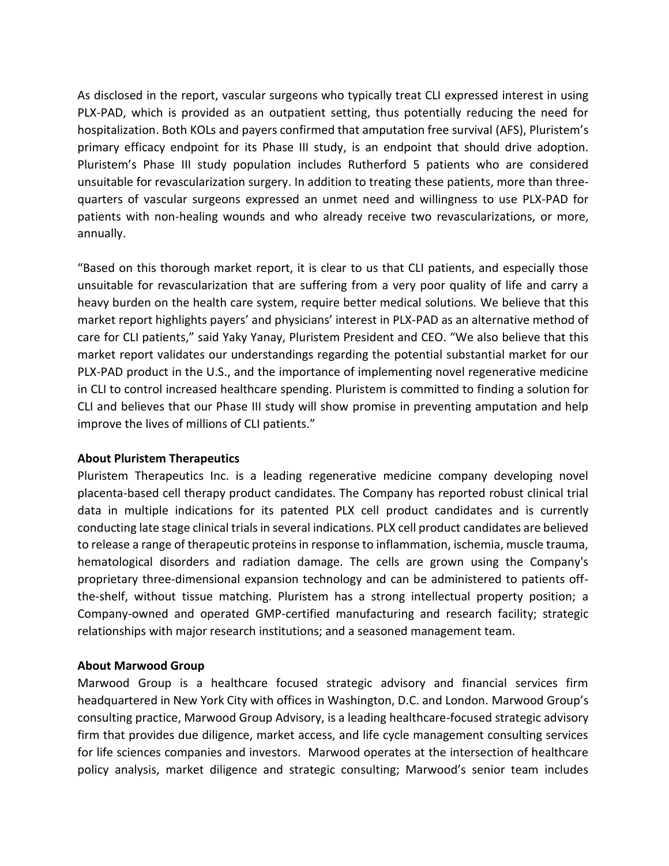As disclosed in the report, vascular surgeons who typically treat CLI expressed interest in using PLX-PAD, which is provided as an outpatient setting, thus potentially reducing the need for hospitalization. Both KOLs and payers confirmed that amputation free survival (AFS), Pluristem's primary efficacy endpoint for its Phase III study, is an endpoint that should drive adoption. Pluristem's Phase III study population includes Rutherford 5 patients who are considered unsuitable for revascularization surgery. In addition to treating these patients, more than threequarters of vascular surgeons expressed an unmet need and willingness to use PLX-PAD for patients with non-healing wounds and who already receive two revascularizations, or more, annually.

"Based on this thorough market report, it is clear to us that CLI patients, and especially those unsuitable for revascularization that are suffering from a very poor quality of life and carry a heavy burden on the health care system, require better medical solutions. We believe that this market report highlights payers' and physicians' interest in PLX-PAD as an alternative method of care for CLI patients," said Yaky Yanay, Pluristem President and CEO. "We also believe that this market report validates our understandings regarding the potential substantial market for our PLX-PAD product in the U.S., and the importance of implementing novel regenerative medicine in CLI to control increased healthcare spending. Pluristem is committed to finding a solution for CLI and believes that our Phase III study will show promise in preventing amputation and help improve the lives of millions of CLI patients."

### **About Pluristem Therapeutics**

Pluristem Therapeutics Inc. is a leading regenerative medicine company developing novel placenta-based cell therapy product candidates. The Company has reported robust clinical trial data in multiple indications for its patented PLX cell product candidates and is currently conducting late stage clinical trials in several indications. PLX cell product candidates are believed to release a range of therapeutic proteins in response to inflammation, ischemia, muscle trauma, hematological disorders and radiation damage. The cells are grown using the Company's proprietary three-dimensional expansion technology and can be administered to patients offthe-shelf, without tissue matching. Pluristem has a strong intellectual property position; a Company-owned and operated GMP-certified manufacturing and research facility; strategic relationships with major research institutions; and a seasoned management team.

### **About Marwood Group**

Marwood Group is a healthcare focused strategic advisory and financial services firm headquartered in New York City with offices in Washington, D.C. and London. Marwood Group's consulting practice, Marwood Group Advisory, is a leading healthcare-focused strategic advisory firm that provides due diligence, market access, and life cycle management consulting services for life sciences companies and investors. Marwood operates at the intersection of healthcare policy analysis, market diligence and strategic consulting; Marwood's senior team includes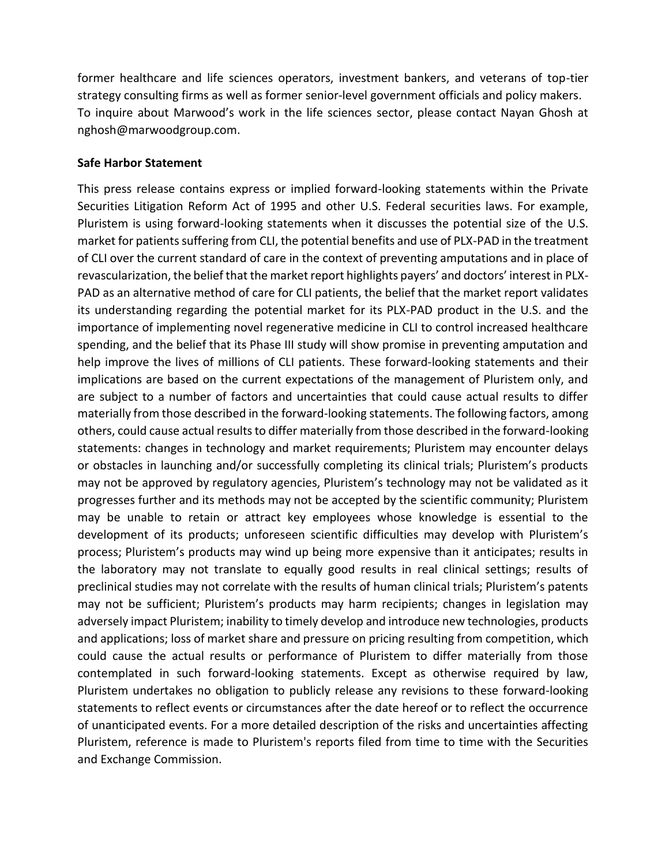former healthcare and life sciences operators, investment bankers, and veterans of top-tier strategy consulting firms as well as former senior-level government officials and policy makers. To inquire about Marwood's work in the life sciences sector, please contact Nayan Ghosh at nghosh@marwoodgroup.com.

## **Safe Harbor Statement**

This press release contains express or implied forward-looking statements within the Private Securities Litigation Reform Act of 1995 and other U.S. Federal securities laws. For example, Pluristem is using forward-looking statements when it discusses the potential size of the U.S. market for patients suffering from CLI, the potential benefits and use of PLX-PAD in the treatment of CLI over the current standard of care in the context of preventing amputations and in place of revascularization, the belief that the market report highlights payers' and doctors' interest in PLX-PAD as an alternative method of care for CLI patients, the belief that the market report validates its understanding regarding the potential market for its PLX-PAD product in the U.S. and the importance of implementing novel regenerative medicine in CLI to control increased healthcare spending, and the belief that its Phase III study will show promise in preventing amputation and help improve the lives of millions of CLI patients. These forward-looking statements and their implications are based on the current expectations of the management of Pluristem only, and are subject to a number of factors and uncertainties that could cause actual results to differ materially from those described in the forward-looking statements. The following factors, among others, could cause actual results to differ materially from those described in the forward-looking statements: changes in technology and market requirements; Pluristem may encounter delays or obstacles in launching and/or successfully completing its clinical trials; Pluristem's products may not be approved by regulatory agencies, Pluristem's technology may not be validated as it progresses further and its methods may not be accepted by the scientific community; Pluristem may be unable to retain or attract key employees whose knowledge is essential to the development of its products; unforeseen scientific difficulties may develop with Pluristem's process; Pluristem's products may wind up being more expensive than it anticipates; results in the laboratory may not translate to equally good results in real clinical settings; results of preclinical studies may not correlate with the results of human clinical trials; Pluristem's patents may not be sufficient; Pluristem's products may harm recipients; changes in legislation may adversely impact Pluristem; inability to timely develop and introduce new technologies, products and applications; loss of market share and pressure on pricing resulting from competition, which could cause the actual results or performance of Pluristem to differ materially from those contemplated in such forward-looking statements. Except as otherwise required by law, Pluristem undertakes no obligation to publicly release any revisions to these forward-looking statements to reflect events or circumstances after the date hereof or to reflect the occurrence of unanticipated events. For a more detailed description of the risks and uncertainties affecting Pluristem, reference is made to Pluristem's reports filed from time to time with the Securities and Exchange Commission.